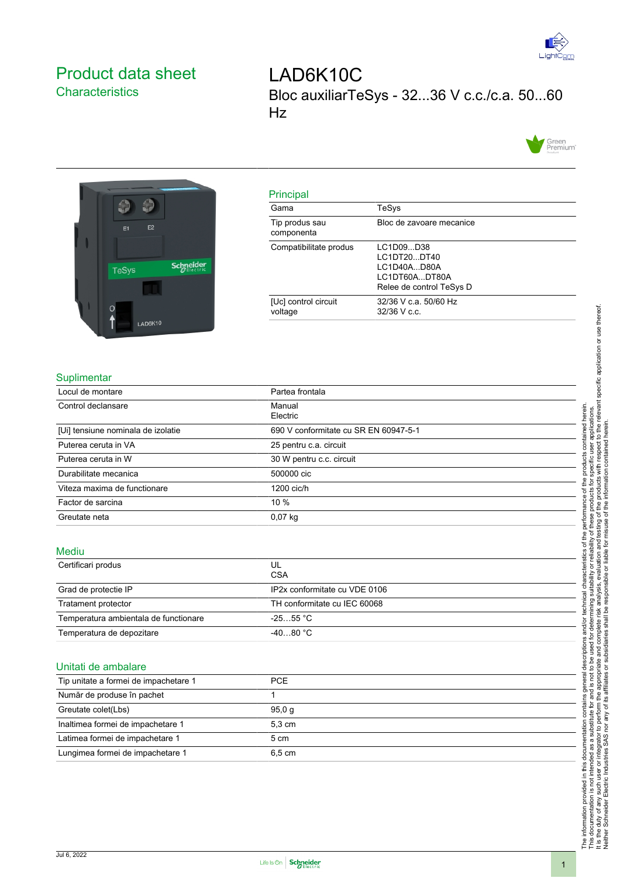

# <span id="page-0-0"></span>Product data sheet **Characteristics**

LAD6K10C Bloc auxiliarTeSys - 32...36 V c.c./c.a. 50...60 Hz





# Principal

| пшырағ                          |                                                                                      |
|---------------------------------|--------------------------------------------------------------------------------------|
| Gama                            | TeSys                                                                                |
| Tip produs sau<br>componenta    | Bloc de zavoare mecanice                                                             |
| Compatibilitate produs          | LC1D09D38<br>LC1DT20DT40<br>LC1D40AD80A<br>LC1DT60ADT80A<br>Relee de control TeSys D |
| [Uc] control circuit<br>voltage | 32/36 V c.a. 50/60 Hz<br>$32/36$ V c.c.                                              |
|                                 |                                                                                      |

## **Suplimentar**

| Locul de montare                   | Partea frontala                       |
|------------------------------------|---------------------------------------|
| Control declansare                 | Manual<br>Electric                    |
| [Ui] tensiune nominala de izolatie | 690 V conformitate cu SR EN 60947-5-1 |
| Puterea ceruta in VA               | 25 pentru c.a. circuit                |
| Puterea ceruta in W                | 30 W pentru c.c. circuit              |
| Durabilitate mecanica              | 500000 cic                            |
| Viteza maxima de functionare       | 1200 cic/h                            |
| Factor de sarcina                  | $10\%$                                |
| Greutate neta                      | $0,07$ kg                             |

#### Mediu

| Certificari produs                    | UL<br><b>CSA</b>              |  |
|---------------------------------------|-------------------------------|--|
| Grad de protectie IP                  | IP2x conformitate cu VDE 0106 |  |
| Tratament protector                   | TH conformitate cu IEC 60068  |  |
| Temperatura ambientala de functionare | $-2555$ °C $\,$               |  |
| Temperatura de depozitare             | $-4080 °C$                    |  |

## Unitati de ambalare

| Tip unitate a formei de impachetare 1 | <b>PCE</b>       |  |
|---------------------------------------|------------------|--|
| Număr de produse în pachet            |                  |  |
| Greutate colet(Lbs)                   | 95.0 g           |  |
| Inaltimea formei de impachetare 1     | $5.3 \text{ cm}$ |  |
| Latimea formei de impachetare 1       | 5 cm             |  |
| Lungimea formei de impachetare 1      | 6.5 cm           |  |